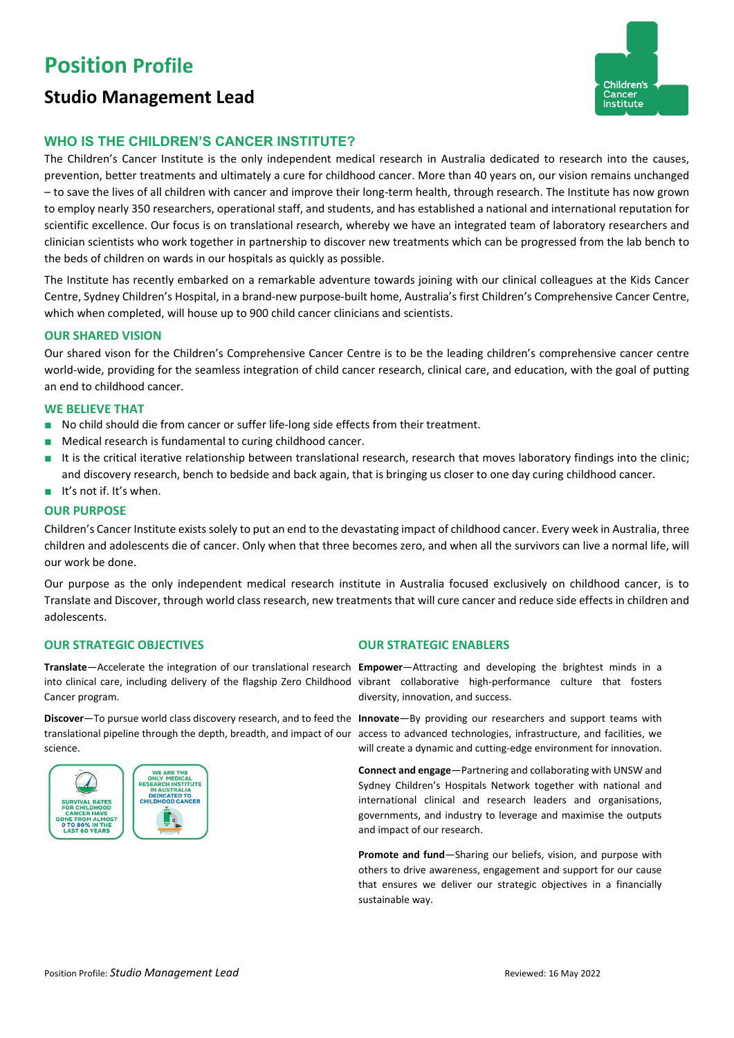# **Position Profile**

## **Studio Management Lead**



### **WHO IS THE CHILDREN'S CANCER INSTITUTE?**

The Children's Cancer Institute is the only independent medical research in Australia dedicated to research into the causes, prevention, better treatments and ultimately a cure for childhood cancer. More than 40 years on, our vision remains unchanged – to save the lives of all children with cancer and improve their long-term health, through research. The Institute has now grown to employ nearly 350 researchers, operational staff, and students, and has established a national and international reputation for scientific excellence. Our focus is on translational research, whereby we have an integrated team of laboratory researchers and clinician scientists who work together in partnership to discover new treatments which can be progressed from the lab bench to the beds of children on wards in our hospitals as quickly as possible.

The Institute has recently embarked on a remarkable adventure towards joining with our clinical colleagues at the Kids Cancer Centre, Sydney Children's Hospital, in a brand-new purpose-built home, Australia's first Children's Comprehensive Cancer Centre, which when completed, will house up to 900 child cancer clinicians and scientists.

#### **OUR SHARED VISION**

Our shared vison for the Children's Comprehensive Cancer Centre is to be the leading children's comprehensive cancer centre world-wide, providing for the seamless integration of child cancer research, clinical care, and education, with the goal of putting an end to childhood cancer.

#### **WE BELIEVE THAT**

- No child should die from cancer or suffer life-long side effects from their treatment.
- Medical research is fundamental to curing childhood cancer.
- It is the critical iterative relationship between translational research, research that moves laboratory findings into the clinic; and discovery research, bench to bedside and back again, that is bringing us closer to one day curing childhood cancer.
- It's not if. It's when.

#### **OUR PURPOSE**

Children's Cancer Institute exists solely to put an end to the devastating impact of childhood cancer. Every week in Australia, three children and adolescents die of cancer. Only when that three becomes zero, and when all the survivors can live a normal life, will our work be done.

Our purpose as the only independent medical research institute in Australia focused exclusively on childhood cancer, is to Translate and Discover, through world class research, new treatments that will cure cancer and reduce side effects in children and adolescents.

#### **OUR STRATEGIC OBJECTIVES OUR STRATEGIC ENABLERS**

**Translate**—Accelerate the integration of our translational research **Empower**—Attracting and developing the brightest minds in a into clinical care, including delivery of the flagship Zero Childhood vibrant collaborative high-performance culture that fosters Cancer program.

**Discover**—To pursue world class discovery research, and to feed the **Innovate**—By providing our researchers and support teams with translational pipeline through the depth, breadth, and impact of our access to advanced technologies, infrastructure, and facilities, we science.



diversity, innovation, and success.

will create a dynamic and cutting-edge environment for innovation.

**Connect and engage**—Partnering and collaborating with UNSW and Sydney Children's Hospitals Network together with national and international clinical and research leaders and organisations, governments, and industry to leverage and maximise the outputs and impact of our research.

**Promote and fund**—Sharing our beliefs, vision, and purpose with others to drive awareness, engagement and support for our cause that ensures we deliver our strategic objectives in a financially sustainable way.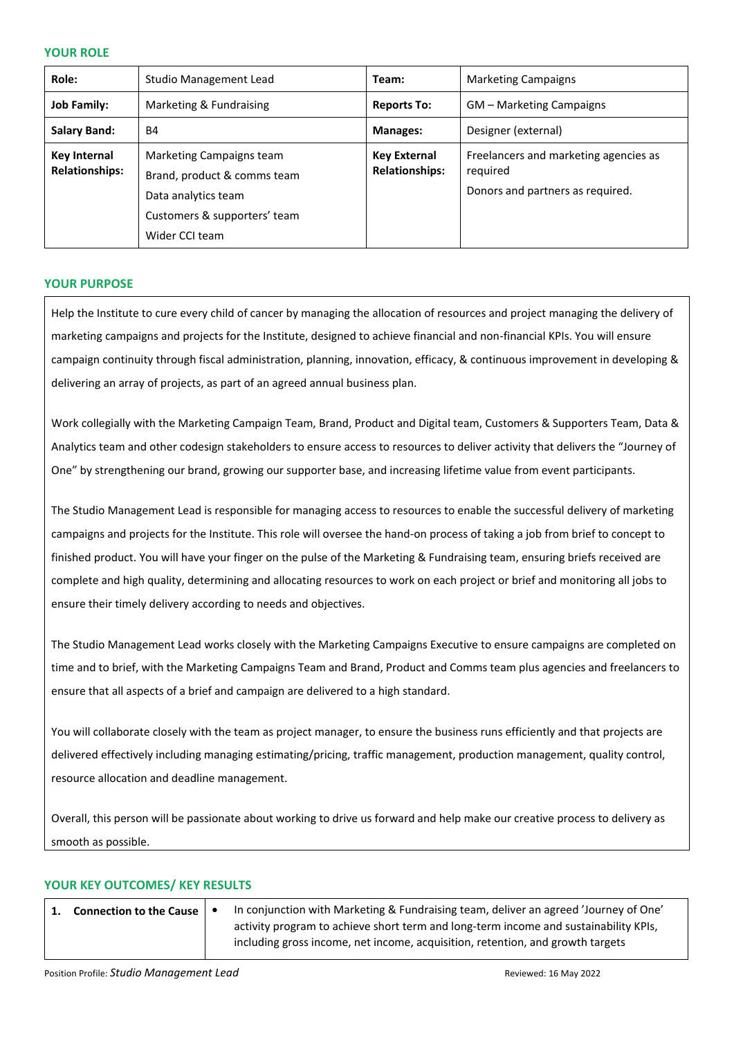#### **YOUR ROLE**

| Role:                                        | Studio Management Lead                                                                                                           | Team:                                 | <b>Marketing Campaigns</b>                                                            |
|----------------------------------------------|----------------------------------------------------------------------------------------------------------------------------------|---------------------------------------|---------------------------------------------------------------------------------------|
| <b>Job Family:</b>                           | Marketing & Fundraising                                                                                                          | <b>Reports To:</b>                    | GM - Marketing Campaigns                                                              |
| <b>Salary Band:</b>                          | <b>B4</b>                                                                                                                        | <b>Manages:</b>                       | Designer (external)                                                                   |
| <b>Key Internal</b><br><b>Relationships:</b> | Marketing Campaigns team<br>Brand, product & comms team<br>Data analytics team<br>Customers & supporters' team<br>Wider CCI team | Key External<br><b>Relationships:</b> | Freelancers and marketing agencies as<br>reguired<br>Donors and partners as required. |

#### **YOUR PURPOSE**

Help the Institute to cure every child of cancer by managing the allocation of resources and project managing the delivery of marketing campaigns and projects for the Institute, designed to achieve financial and non-financial KPIs. You will ensure campaign continuity through fiscal administration, planning, innovation, efficacy, & continuous improvement in developing & delivering an array of projects, as part of an agreed annual business plan.

Work collegially with the Marketing Campaign Team, Brand, Product and Digital team, Customers & Supporters Team, Data & Analytics team and other codesign stakeholders to ensure access to resources to deliver activity that delivers the "Journey of One" by strengthening our brand, growing our supporter base, and increasing lifetime value from event participants.

The Studio Management Lead is responsible for managing access to resources to enable the successful delivery of marketing campaigns and projects for the Institute. This role will oversee the hand-on process of taking a job from brief to concept to finished product. You will have your finger on the pulse of the Marketing & Fundraising team, ensuring briefs received are complete and high quality, determining and allocating resources to work on each project or brief and monitoring all jobs to ensure their timely delivery according to needs and objectives.

The Studio Management Lead works closely with the Marketing Campaigns Executive to ensure campaigns are completed on time and to brief, with the Marketing Campaigns Team and Brand, Product and Comms team plus agencies and freelancers to ensure that all aspects of a brief and campaign are delivered to a high standard.

You will collaborate closely with the team as project manager, to ensure the business runs efficiently and that projects are delivered effectively including managing estimating/pricing, traffic management, production management, quality control, resource allocation and deadline management.

Overall, this person will be passionate about working to drive us forward and help make our creative process to delivery as smooth as possible.

#### **YOUR KEY OUTCOMES/ KEY RESULTS**

| <b>Connection to the Cause   4</b> | In conjunction with Marketing & Fundraising team, deliver an agreed 'Journey of One' |  |
|------------------------------------|--------------------------------------------------------------------------------------|--|
|                                    | activity program to achieve short term and long-term income and sustainability KPIs, |  |
|                                    | including gross income, net income, acquisition, retention, and growth targets       |  |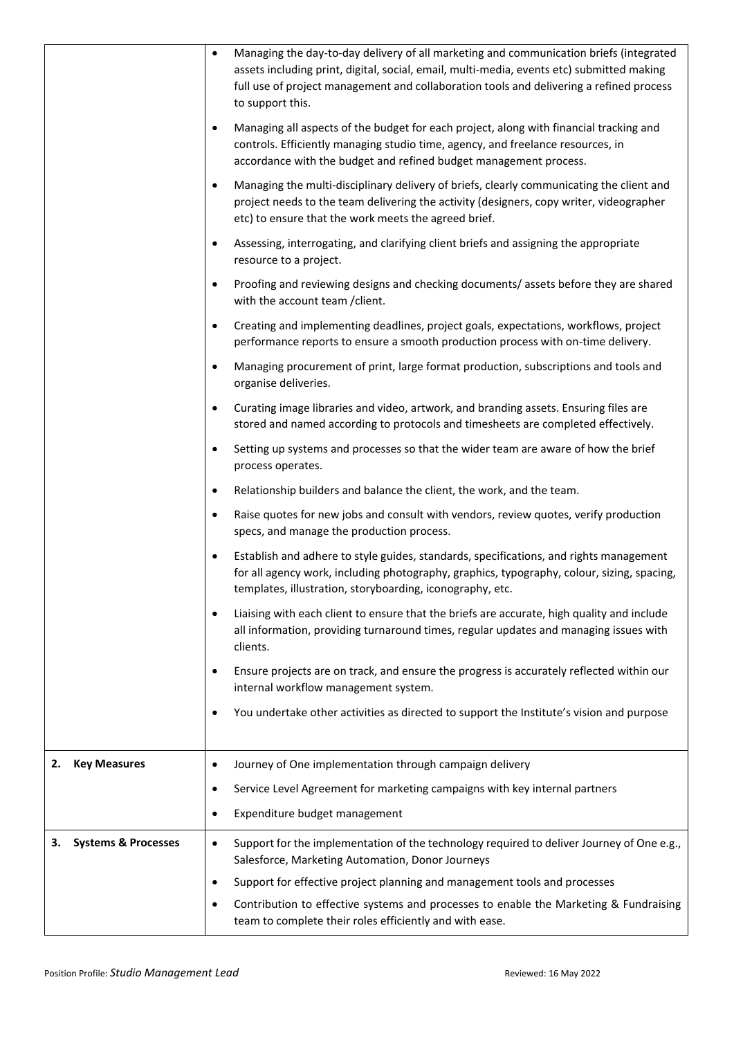|                                      | $\bullet$ | Managing the day-to-day delivery of all marketing and communication briefs (integrated<br>assets including print, digital, social, email, multi-media, events etc) submitted making<br>full use of project management and collaboration tools and delivering a refined process<br>to support this. |
|--------------------------------------|-----------|----------------------------------------------------------------------------------------------------------------------------------------------------------------------------------------------------------------------------------------------------------------------------------------------------|
|                                      | $\bullet$ | Managing all aspects of the budget for each project, along with financial tracking and<br>controls. Efficiently managing studio time, agency, and freelance resources, in<br>accordance with the budget and refined budget management process.                                                     |
|                                      | $\bullet$ | Managing the multi-disciplinary delivery of briefs, clearly communicating the client and<br>project needs to the team delivering the activity (designers, copy writer, videographer<br>etc) to ensure that the work meets the agreed brief.                                                        |
|                                      | $\bullet$ | Assessing, interrogating, and clarifying client briefs and assigning the appropriate<br>resource to a project.                                                                                                                                                                                     |
|                                      | $\bullet$ | Proofing and reviewing designs and checking documents/ assets before they are shared<br>with the account team / client.                                                                                                                                                                            |
|                                      | $\bullet$ | Creating and implementing deadlines, project goals, expectations, workflows, project<br>performance reports to ensure a smooth production process with on-time delivery.                                                                                                                           |
|                                      | $\bullet$ | Managing procurement of print, large format production, subscriptions and tools and<br>organise deliveries.                                                                                                                                                                                        |
|                                      | $\bullet$ | Curating image libraries and video, artwork, and branding assets. Ensuring files are<br>stored and named according to protocols and timesheets are completed effectively.                                                                                                                          |
|                                      | $\bullet$ | Setting up systems and processes so that the wider team are aware of how the brief<br>process operates.                                                                                                                                                                                            |
|                                      | $\bullet$ | Relationship builders and balance the client, the work, and the team.                                                                                                                                                                                                                              |
|                                      | $\bullet$ | Raise quotes for new jobs and consult with vendors, review quotes, verify production<br>specs, and manage the production process.                                                                                                                                                                  |
|                                      | $\bullet$ | Establish and adhere to style guides, standards, specifications, and rights management<br>for all agency work, including photography, graphics, typography, colour, sizing, spacing,<br>templates, illustration, storyboarding, iconography, etc.                                                  |
|                                      |           | Liaising with each client to ensure that the briefs are accurate, high quality and include<br>all information, providing turnaround times, regular updates and managing issues with<br>clients.                                                                                                    |
|                                      |           | Ensure projects are on track, and ensure the progress is accurately reflected within our<br>internal workflow management system.                                                                                                                                                                   |
|                                      | $\bullet$ | You undertake other activities as directed to support the Institute's vision and purpose                                                                                                                                                                                                           |
| <b>Key Measures</b><br>2.            | ٠         | Journey of One implementation through campaign delivery                                                                                                                                                                                                                                            |
|                                      | $\bullet$ | Service Level Agreement for marketing campaigns with key internal partners                                                                                                                                                                                                                         |
|                                      |           | Expenditure budget management                                                                                                                                                                                                                                                                      |
| <b>Systems &amp; Processes</b><br>3. | $\bullet$ | Support for the implementation of the technology required to deliver Journey of One e.g.,<br>Salesforce, Marketing Automation, Donor Journeys                                                                                                                                                      |
|                                      | $\bullet$ | Support for effective project planning and management tools and processes                                                                                                                                                                                                                          |
|                                      |           | Contribution to effective systems and processes to enable the Marketing & Fundraising<br>team to complete their roles efficiently and with ease.                                                                                                                                                   |